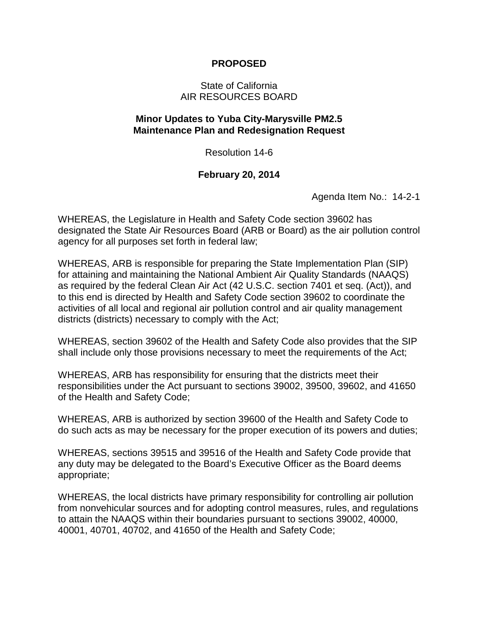## **PROPOSED**

## State of California AIR RESOURCES BOARD

## **Minor Updates to Yuba City-Marysville PM2.5 Maintenance Plan and Redesignation Request**

Resolution 14-6

## **February 20, 2014**

Agenda Item No.: 14-2-1

WHEREAS, the Legislature in Health and Safety Code section 39602 has designated the State Air Resources Board (ARB or Board) as the air pollution control agency for all purposes set forth in federal law;

WHEREAS, ARB is responsible for preparing the State Implementation Plan (SIP) for attaining and maintaining the National Ambient Air Quality Standards (NAAQS) as required by the federal Clean Air Act (42 U.S.C. section 7401 et seq. (Act)), and to this end is directed by Health and Safety Code section 39602 to coordinate the activities of all local and regional air pollution control and air quality management districts (districts) necessary to comply with the Act;

WHEREAS, section 39602 of the Health and Safety Code also provides that the SIP shall include only those provisions necessary to meet the requirements of the Act;

WHEREAS, ARB has responsibility for ensuring that the districts meet their responsibilities under the Act pursuant to sections 39002, 39500, 39602, and 41650 of the Health and Safety Code;

WHEREAS, ARB is authorized by section 39600 of the Health and Safety Code to do such acts as may be necessary for the proper execution of its powers and duties;

WHEREAS, sections 39515 and 39516 of the Health and Safety Code provide that any duty may be delegated to the Board's Executive Officer as the Board deems appropriate;

WHEREAS, the local districts have primary responsibility for controlling air pollution from nonvehicular sources and for adopting control measures, rules, and regulations to attain the NAAQS within their boundaries pursuant to sections 39002, 40000, 40001, 40701, 40702, and 41650 of the Health and Safety Code;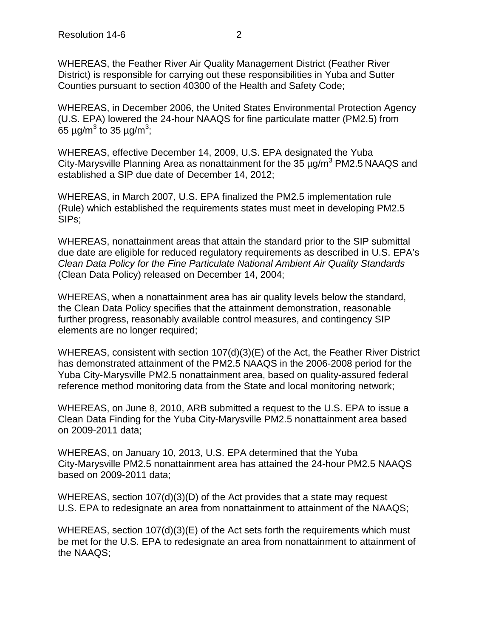WHEREAS, the Feather River Air Quality Management District (Feather River District) is responsible for carrying out these responsibilities in Yuba and Sutter Counties pursuant to section 40300 of the Health and Safety Code;

WHEREAS, in December 2006, the United States Environmental Protection Agency (U.S. EPA) lowered the 24-hour NAAQS for fine particulate matter (PM2.5) from 65 µg/m $^3$  to 35 µg/m $^3$ ;

WHEREAS, effective December 14, 2009, U.S. EPA designated the Yuba City-Marysville Planning Area as nonattainment for the 35  $\mu$ g/m<sup>3</sup> PM2.5 NAAQS and established a SIP due date of December 14, 2012;

WHEREAS, in March 2007, U.S. EPA finalized the PM2.5 implementation rule (Rule) which established the requirements states must meet in developing PM2.5 SIPs;

WHEREAS, nonattainment areas that attain the standard prior to the SIP submittal due date are eligible for reduced regulatory requirements as described in U.S. EPA's *Clean Data Policy for the Fine Particulate National Ambient Air Quality Standards* (Clean Data Policy) released on December 14, 2004;

WHEREAS, when a nonattainment area has air quality levels below the standard, the Clean Data Policy specifies that the attainment demonstration, reasonable further progress, reasonably available control measures, and contingency SIP elements are no longer required;

WHEREAS, consistent with section 107(d)(3)(E) of the Act, the Feather River District has demonstrated attainment of the PM2.5 NAAQS in the 2006-2008 period for the Yuba City-Marysville PM2.5 nonattainment area, based on quality-assured federal reference method monitoring data from the State and local monitoring network;

WHEREAS, on June 8, 2010, ARB submitted a request to the U.S. EPA to issue a Clean Data Finding for the Yuba City-Marysville PM2.5 nonattainment area based on 2009-2011 data;

WHEREAS, on January 10, 2013, U.S. EPA determined that the Yuba City-Marysville PM2.5 nonattainment area has attained the 24-hour PM2.5 NAAQS based on 2009-2011 data;

WHEREAS, section 107(d)(3)(D) of the Act provides that a state may request U.S. EPA to redesignate an area from nonattainment to attainment of the NAAQS;

WHEREAS, section 107(d)(3)(E) of the Act sets forth the requirements which must be met for the U.S. EPA to redesignate an area from nonattainment to attainment of the NAAQS;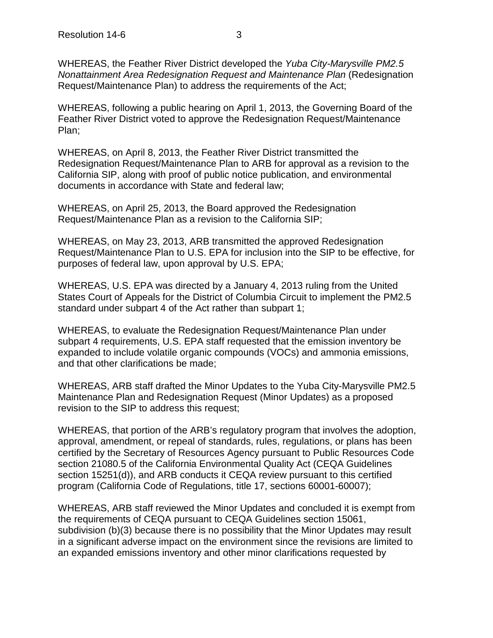WHEREAS, the Feather River District developed the *Yuba City-Marysville PM2.5 Nonattainment Area Redesignation Request and Maintenance Plan* (Redesignation Request/Maintenance Plan) to address the requirements of the Act;

WHEREAS, following a public hearing on April 1, 2013, the Governing Board of the Feather River District voted to approve the Redesignation Request/Maintenance Plan;

WHEREAS, on April 8, 2013, the Feather River District transmitted the Redesignation Request/Maintenance Plan to ARB for approval as a revision to the California SIP, along with proof of public notice publication, and environmental documents in accordance with State and federal law;

WHEREAS, on April 25, 2013, the Board approved the Redesignation Request/Maintenance Plan as a revision to the California SIP;

WHEREAS, on May 23, 2013, ARB transmitted the approved Redesignation Request/Maintenance Plan to U.S. EPA for inclusion into the SIP to be effective, for purposes of federal law, upon approval by U.S. EPA;

WHEREAS, U.S. EPA was directed by a January 4, 2013 ruling from the United States Court of Appeals for the District of Columbia Circuit to implement the PM2.5 standard under subpart 4 of the Act rather than subpart 1;

WHEREAS, to evaluate the Redesignation Request/Maintenance Plan under subpart 4 requirements, U.S. EPA staff requested that the emission inventory be expanded to include volatile organic compounds (VOCs) and ammonia emissions, and that other clarifications be made;

WHEREAS, ARB staff drafted the Minor Updates to the Yuba City-Marysville PM2.5 Maintenance Plan and Redesignation Request (Minor Updates) as a proposed revision to the SIP to address this request;

WHEREAS, that portion of the ARB's regulatory program that involves the adoption, approval, amendment, or repeal of standards, rules, regulations, or plans has been certified by the Secretary of Resources Agency pursuant to Public Resources Code section 21080.5 of the California Environmental Quality Act (CEQA Guidelines section 15251(d)), and ARB conducts it CEQA review pursuant to this certified program (California Code of Regulations, title 17, sections 60001-60007);

WHEREAS, ARB staff reviewed the Minor Updates and concluded it is exempt from the requirements of CEQA pursuant to CEQA Guidelines section 15061, subdivision (b)(3) because there is no possibility that the Minor Updates may result in a significant adverse impact on the environment since the revisions are limited to an expanded emissions inventory and other minor clarifications requested by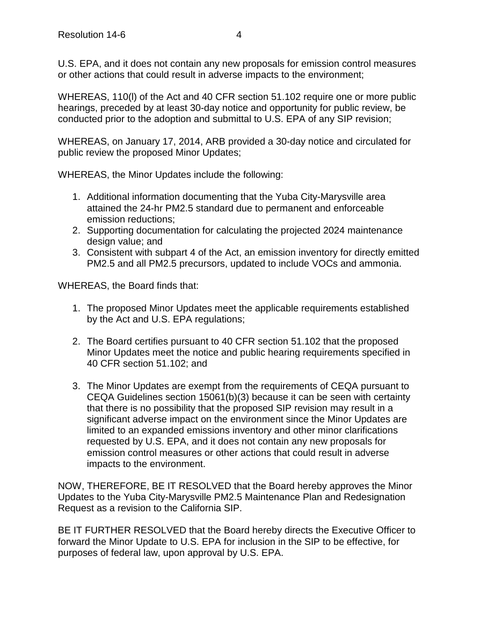U.S. EPA, and it does not contain any new proposals for emission control measures or other actions that could result in adverse impacts to the environment;

WHEREAS, 110(l) of the Act and 40 CFR section 51.102 require one or more public hearings, preceded by at least 30-day notice and opportunity for public review, be conducted prior to the adoption and submittal to U.S. EPA of any SIP revision;

WHEREAS, on January 17, 2014, ARB provided a 30-day notice and circulated for public review the proposed Minor Updates;

WHEREAS, the Minor Updates include the following:

- 1. Additional information documenting that the Yuba City-Marysville area attained the 24-hr PM2.5 standard due to permanent and enforceable emission reductions;
- 2. Supporting documentation for calculating the projected 2024 maintenance design value; and
- 3. Consistent with subpart 4 of the Act, an emission inventory for directly emitted PM2.5 and all PM2.5 precursors, updated to include VOCs and ammonia.

WHEREAS, the Board finds that:

- 1. The proposed Minor Updates meet the applicable requirements established by the Act and U.S. EPA regulations;
- 2. The Board certifies pursuant to 40 CFR section 51.102 that the proposed Minor Updates meet the notice and public hearing requirements specified in 40 CFR section 51.102; and
- 3. The Minor Updates are exempt from the requirements of CEQA pursuant to CEQA Guidelines section 15061(b)(3) because it can be seen with certainty that there is no possibility that the proposed SIP revision may result in a significant adverse impact on the environment since the Minor Updates are limited to an expanded emissions inventory and other minor clarifications requested by U.S. EPA, and it does not contain any new proposals for emission control measures or other actions that could result in adverse impacts to the environment.

NOW, THEREFORE, BE IT RESOLVED that the Board hereby approves the Minor Updates to the Yuba City-Marysville PM2.5 Maintenance Plan and Redesignation Request as a revision to the California SIP.

BE IT FURTHER RESOLVED that the Board hereby directs the Executive Officer to forward the Minor Update to U.S. EPA for inclusion in the SIP to be effective, for purposes of federal law, upon approval by U.S. EPA.